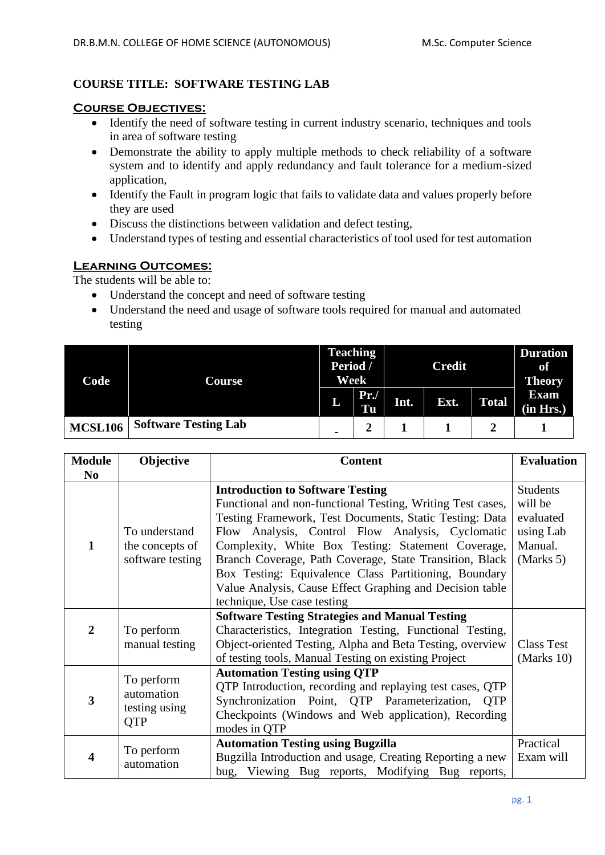# **COURSE TITLE: SOFTWARE TESTING LAB**

#### **Course Objectives:**

- Identify the need of software testing in current industry scenario, techniques and tools in area of software testing
- Demonstrate the ability to apply multiple methods to check reliability of a software system and to identify and apply redundancy and fault tolerance for a medium-sized application,
- Identify the Fault in program logic that fails to validate data and values properly before they are used
- Discuss the distinctions between validation and defect testing,
- Understand types of testing and essential characteristics of tool used for test automation

### **Learning Outcomes:**

The students will be able to:

- Understand the concept and need of software testing
- Understand the need and usage of software tools required for manual and automated testing

| Code           | Course                      | <b>Teaching</b><br>Period /<br>Week |           | <b>Credit</b> |      |              | <b>Duration</b><br>of<br><b>Theory</b> |
|----------------|-----------------------------|-------------------------------------|-----------|---------------|------|--------------|----------------------------------------|
|                |                             | L                                   | Pr.<br>Tu | Int.          | Ext. | <b>Total</b> | <b>Exam</b><br>(in Hrs.)               |
| <b>MCSL106</b> | <b>Software Testing Lab</b> | $\blacksquare$                      | ി<br>∠    |               |      |              |                                        |

| <b>Module</b>  | Objective                           | <b>Content</b>                                             | <b>Evaluation</b> |
|----------------|-------------------------------------|------------------------------------------------------------|-------------------|
| N <sub>0</sub> |                                     |                                                            |                   |
|                |                                     | <b>Introduction to Software Testing</b>                    | <b>Students</b>   |
|                |                                     | Functional and non-functional Testing, Writing Test cases, | will be           |
|                |                                     | Testing Framework, Test Documents, Static Testing: Data    | evaluated         |
|                | To understand                       | Flow Analysis, Control Flow Analysis, Cyclomatic           | using Lab         |
| 1              | the concepts of<br>software testing | Complexity, White Box Testing: Statement Coverage,         | Manual.           |
|                |                                     | Branch Coverage, Path Coverage, State Transition, Black    | (Marks 5)         |
|                |                                     | Box Testing: Equivalence Class Partitioning, Boundary      |                   |
|                |                                     | Value Analysis, Cause Effect Graphing and Decision table   |                   |
|                |                                     | technique, Use case testing                                |                   |
|                |                                     | <b>Software Testing Strategies and Manual Testing</b>      |                   |
| $\overline{2}$ | To perform                          | Characteristics, Integration Testing, Functional Testing,  |                   |
|                | manual testing                      | Object-oriented Testing, Alpha and Beta Testing, overview  | <b>Class Test</b> |
|                |                                     | of testing tools, Manual Testing on existing Project       | (Marks $10$ )     |
|                | To perform                          | <b>Automation Testing using QTP</b>                        |                   |
| 3              | automation<br>testing using         | QTP Introduction, recording and replaying test cases, QTP  |                   |
|                |                                     | Synchronization Point, QTP Parameterization, QTP           |                   |
|                | <b>QTP</b>                          | Checkpoints (Windows and Web application), Recording       |                   |
|                |                                     | modes in QTP                                               |                   |
|                | To perform                          | <b>Automation Testing using Bugzilla</b>                   | Practical         |
|                | automation                          | Bugzilla Introduction and usage, Creating Reporting a new  | Exam will         |
|                |                                     | bug, Viewing Bug reports, Modifying Bug reports,           |                   |